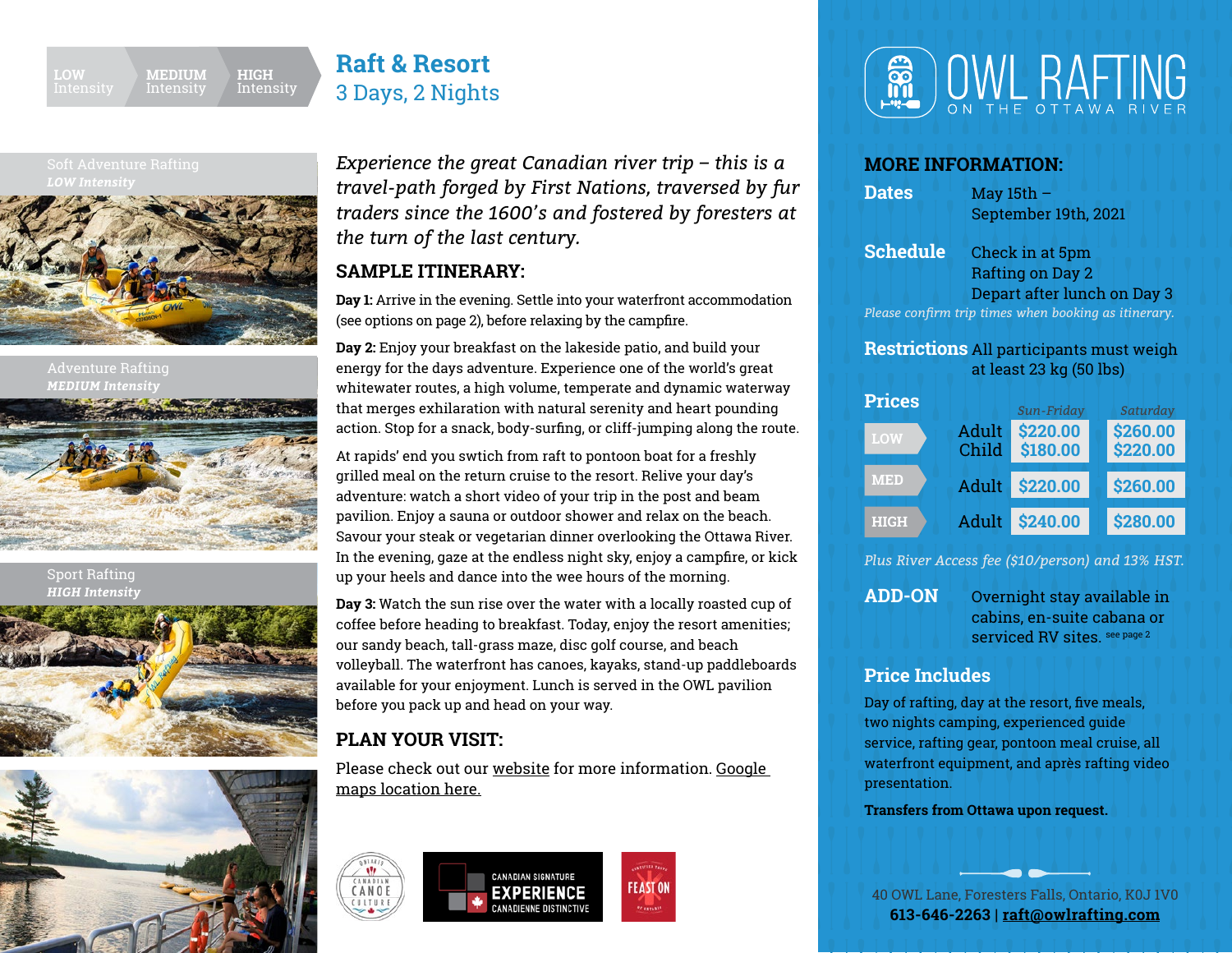

# **[Raft & Resort](https://owlrafting.com/trips-and-packages/?intensity=&package=overnight-package)** 3 Days, 2 Nights

*LOW Intensity*



Adventure Rafting *MEDIUM Intensity*



Sport Rafting *HIGH Intensity*





*Experience the great Canadian river trip – this is a travel-path forged by First Nations, traversed by fur traders since the 1600's and fostered by foresters at the turn of the last century.* 

### **SAMPLE ITINERARY:**

**Day 1:** Arrive in the evening. Settle into your waterfront accommodation (see options on page 2), before relaxing by the campfire.

**Day 2:** Enjoy your breakfast on the lakeside patio, and build your energy for the days adventure. Experience one of the world's great whitewater routes, a high volume, temperate and dynamic waterway that merges exhilaration with natural serenity and heart pounding action. Stop for a snack, body-surfing, or cliff-jumping along the route.

At rapids' end you swtich from raft to pontoon boat for a freshly grilled meal on the return cruise to the resort. Relive your day's adventure: watch a short video of your trip in the post and beam pavilion. Enjoy a sauna or outdoor shower and relax on the beach. Savour your steak or vegetarian dinner overlooking the Ottawa River. In the evening, gaze at the endless night sky, enjoy a campfire, or kick up your heels and dance into the wee hours of the morning.

**Day 3:** Watch the sun rise over the water with a locally roasted cup of coffee before heading to breakfast. Today, enjoy the resort amenities; our sandy beach, tall-grass maze, disc golf course, and beach volleyball. The waterfront has canoes, kayaks, stand-up paddleboards available for your enjoyment. Lunch is served in the OWL pavilion before you pack up and head on your way.

## **PLAN YOUR VISIT:**

Please check out our [website](https://owlrafting.com/plan-your-visit/) for more information. [Google](https://www.google.com/maps/dir//OWL+Rafting+on+the+Ottawa+River,+40+OWL+Lane,+Foresters+Falls,+ON+K0J+1V0/@45.6017589,-76.6892844,10z/data=!4m8!4m7!1m0!1m5!1m1!1s0x4cce05bc199dc721:0xb9148a5b32461463!2m2!1d-76.724309!2d45.661806)  [maps location here.](https://www.google.com/maps/dir//OWL+Rafting+on+the+Ottawa+River,+40+OWL+Lane,+Foresters+Falls,+ON+K0J+1V0/@45.6017589,-76.6892844,10z/data=!4m8!4m7!1m0!1m5!1m1!1s0x4cce05bc199dc721:0xb9148a5b32461463!2m2!1d-76.724309!2d45.661806)







### **MORE INFORMATION:**

**Dates** May 15th – September 19th, 2021

**Schedule** Check in at 5pm Rafting on Day 2 Depart after lunch on Day 3 *Please confirm trip times when booking as itinerary.*

### **Restrictions** All participants must weigh at least 23 kg (50 lbs)



*Plus River Access fee (\$10/person) and 13% HST.*

**ADD-ON** Overnight stay available in cabins, en-suite cabana or serviced RV sites. see page 2

## **Price Includes**

Day of rafting, day at the resort, five meals, two nights camping, experienced guide service, rafting gear, pontoon meal cruise, all waterfront equipment, and après rafting video presentation.

**Transfers from Ottawa upon request.**

40 OWL Lane, Foresters Falls, Ontario, K0J 1V0 **613-646-2263 | [raft@owlrafting.com](mailto:raft%40owlrafting.com?subject=)**